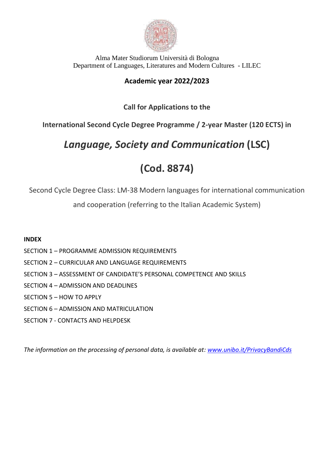

### **Academic year 2022/2023**

### **Call for Applications to the**

**International Second Cycle Degree Programme / 2-year Master (120 ECTS) in**

# *Language, Society and Communication* **(LSC)**

# **(Cod. 8874)**

Second Cycle Degree Class: LM-38 Modern languages for international communication

and cooperation (referring to the Italian Academic System)

### **INDEX**

- SECTION 1 PROGRAMME ADMISSION REQUIREMENTS
- SECTION 2 CURRICULAR AND LANGUAGE REQUIREMENTS
- SECTION 3 ASSESSMENT OF CANDIDATE'S PERSONAL COMPETENCE AND SKILLS
- SECTION 4 ADMISSION AND DEADLINES
- SECTION 5 HOW TO APPLY
- SECTION 6 ADMISSION AND MATRICULATION
- SECTION 7 CONTACTS AND HELPDESK

*The information on the processing of personal data, is available at: [www.unibo.it/PrivacyBandiCds](http://www.unibo.it/PrivacyBandiCds)*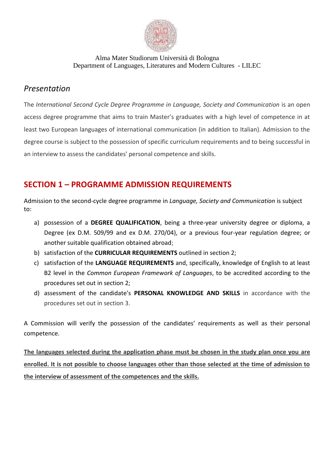

## *Presentation*

The *International Second Cycle Degree Programme in Language, Society and Communication* is an open access degree programme that aims to train Master's graduates with a high level of competence in at least two European languages of international communication (in addition to Italian). Admission to the degree course is subject to the possession of specific curriculum requirements and to being successful in an interview to assess the candidates' personal competence and skills.

## **SECTION 1 – PROGRAMME ADMISSION REQUIREMENTS**

Admission to the second-cycle degree programme in *Language, Society and Communication* is subject to:

- a) possession of a **DEGREE QUALIFICATION**, being a three-year university degree or diploma, a Degree (ex D.M. 509/99 and ex D.M. 270/04), or a previous four-year regulation degree; or another suitable qualification obtained abroad;
- b) satisfaction of the **CURRICULAR REQUIREMENTS** outlined in section 2;
- c) satisfaction of the **LANGUAGE REQUIREMENTS** and, specifically, knowledge of English to at least B2 level in the *Common European Framework of Languages*, to be accredited according to the procedures set out in section 2;
- d) assessment of the candidate's **PERSONAL KNOWLEDGE AND SKILLS** in accordance with the procedures set out in section 3.

A Commission will verify the possession of the candidates' requirements as well as their personal competence.

**The languages selected during the application phase must be chosen in the study plan once you are enrolled. It is not possible to choose languages other than those selected at the time of admission to the interview of assessment of the competences and the skills.**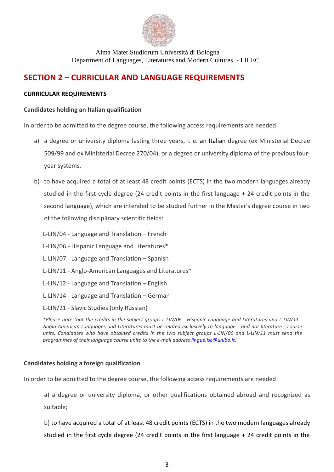

### **SECTION 2 – CURRICULAR AND LANGUAGE REQUIREMENTS**

### **CURRICULAR REQUIREMENTS**

#### **Candidates holding an Italian qualification**

In order to be admitted to the degree course, the following access requirements are needed:

- a) a degree or university diploma lasting three years, i. e. an Italian degree (ex Ministerial Decree 509/99 and ex Ministerial Decree 270/04), or a degree or university diploma of the previous fouryear systems.
- b) to have acquired a total of at least 48 credit points (ECTS) in the two modern languages already studied in the first cycle degree (24 credit points in the first language + 24 credit points in the second language), which are intended to be studied further in the Master's degree course in two of the following disciplinary scientific fields:
	- L-LIN/04 Language and Translation French
	- L-LIN/06 Hispanic Language and Literatures\*
	- L-LIN/07 Language and Translation Spanish
	- L-LIN/11 Anglo-American Languages and Literatures\*
	- L-LIN/12 Language and Translation English
	- L-LIN/14 Language and Translation German

L-LIN/21 - Slavic Studies (only Russian)

\**Please note that the credits in the subject groups L-LIN/06 - Hispanic Language and Literatures and L-LIN/11 - Anglo-American Languages and Literatures must be related exclusively to language - and not literature - course units. Candidates who have obtained credits in the two subject groups L-LIN/06 and L-LIN/11 must send the programmes of their language course units to the e-mail address [lingue.lsc@unibo.it.](mailto:lingue.lsc@unibo.it)*

#### **Candidates holding a foreign qualification**

In order to be admitted to the degree course, the following access requirements are needed:

a) a degree or university diploma, or other qualifications obtained abroad and recognized as suitable;

b) to have acquired a total of at least 48 credit points (ECTS) in the two modern languages already studied in the first cycle degree (24 credit points in the first language + 24 credit points in the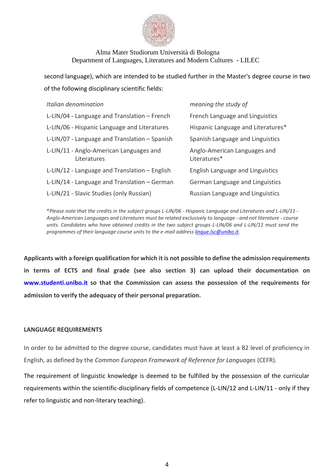

second language), which are intended to be studied further in the Master's degree course in two of the following disciplinary scientific fields:

| Italian denomination                                   | meaning the study of                         |
|--------------------------------------------------------|----------------------------------------------|
| L-LIN/04 - Language and Translation - French           | French Language and Linguistics              |
| L-LIN/06 - Hispanic Language and Literatures           | Hispanic Language and Literatures*           |
| L-LIN/07 - Language and Translation - Spanish          | Spanish Language and Linguistics             |
| L-LIN/11 - Anglo-American Languages and<br>Literatures | Anglo-American Languages and<br>Literatures* |
| L-LIN/12 - Language and Translation - English          | English Language and Linguistics             |
| L-LIN/14 - Language and Translation - German           | German Language and Linguistics              |
| L-LIN/21 - Slavic Studies (only Russian)               | Russian Language and Linguistics             |

\**Please note that the credits in the subject groups L-LIN/06 - Hispanic Language and Literatures and L-LIN/11 - Anglo-American Languages and Literatures must be related exclusively to language - and not literature - course units. Candidates who have obtained credits in the two subject groups L-LIN/06 and L-LIN/11 must send the programmes of their language course units to the e-mail addres[s lingue.lsc@unibo.it](mailto:lingue.lsc@unibo.it)*.

**Applicants with a foreign qualification for which it is not possible to define the admission requirements in terms of ECTS and final grade (see also section 3) can upload their documentation on [www.studenti.unibo.it](http://www.studenti.unibo.it/) so that the Commission can assess the possession of the requirements for admission to verify the adequacy of their personal preparation.**

#### **LANGUAGE REQUIREMENTS**

In order to be admitted to the degree course, candidates must have at least a B2 level of proficiency in English, as defined by the *Common European Framework of Reference for Languages* (CEFR).

The requirement of linguistic knowledge is deemed to be fulfilled by the possession of the curricular requirements within the scientific-disciplinary fields of competence (L-LIN/12 and L-LIN/11 - only if they refer to linguistic and non-literary teaching).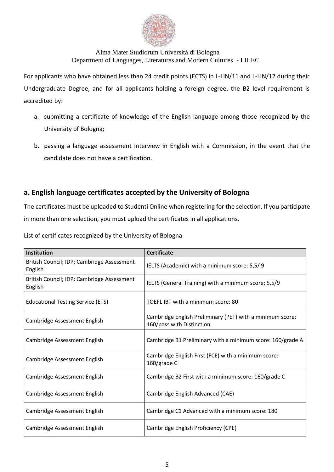

For applicants who have obtained less than 24 credit points (ECTS) in L-LIN/11 and L-LIN/12 during their Undergraduate Degree, and for all applicants holding a foreign degree, the B2 level requirement is accredited by:

- a. submitting a certificate of knowledge of the English language among those recognized by the University of Bologna;
- b. passing a language assessment interview in English with a Commission, in the event that the candidate does not have a certification.

### **a. English language certificates accepted by the University of Bologna**

The certificates must be uploaded to Studenti Online when registering for the selection. If you participate in more than one selection, you must upload the certificates in all applications.

List of certificates recognized by the University of Bologna

| <b>Institution</b>                                    | <b>Certificate</b>                                                                     |
|-------------------------------------------------------|----------------------------------------------------------------------------------------|
| British Council; IDP; Cambridge Assessment<br>English | IELTS (Academic) with a minimum score: 5,5/9                                           |
| British Council; IDP; Cambridge Assessment<br>English | IELTS (General Training) with a minimum score: 5,5/9                                   |
| <b>Educational Testing Service (ETS)</b>              | TOEFL IBT with a minimum score: 80                                                     |
| Cambridge Assessment English                          | Cambridge English Preliminary (PET) with a minimum score:<br>160/pass with Distinction |
| Cambridge Assessment English                          | Cambridge B1 Preliminary with a minimum score: 160/grade A                             |
| Cambridge Assessment English                          | Cambridge English First (FCE) with a minimum score:<br>160/grade C                     |
| Cambridge Assessment English                          | Cambridge B2 First with a minimum score: 160/grade C                                   |
| Cambridge Assessment English                          | Cambridge English Advanced (CAE)                                                       |
| Cambridge Assessment English                          | Cambridge C1 Advanced with a minimum score: 180                                        |
| Cambridge Assessment English                          | Cambridge English Proficiency (CPE)                                                    |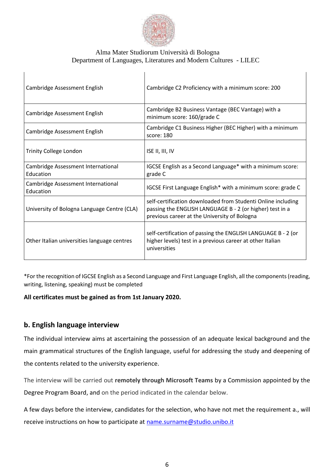

| Cambridge Assessment English                    | Cambridge C2 Proficiency with a minimum score: 200                                                                                                                       |  |
|-------------------------------------------------|--------------------------------------------------------------------------------------------------------------------------------------------------------------------------|--|
| Cambridge Assessment English                    | Cambridge B2 Business Vantage (BEC Vantage) with a<br>minimum score: 160/grade C                                                                                         |  |
| Cambridge Assessment English                    | Cambridge C1 Business Higher (BEC Higher) with a minimum<br>score: 180                                                                                                   |  |
| <b>Trinity College London</b>                   | ISE II, III, IV                                                                                                                                                          |  |
| Cambridge Assessment International<br>Education | IGCSE English as a Second Language* with a minimum score:<br>grade C                                                                                                     |  |
| Cambridge Assessment International<br>Education | IGCSE First Language English* with a minimum score: grade C                                                                                                              |  |
| University of Bologna Language Centre (CLA)     | self-certification downloaded from Studenti Online including<br>passing the ENGLISH LANGUAGE B - 2 (or higher) test in a<br>previous career at the University of Bologna |  |
| Other Italian universities language centres     | self-certification of passing the ENGLISH LANGUAGE B - 2 (or<br>higher levels) test in a previous career at other Italian<br>universities                                |  |

\*For the recognition of IGCSE English as a Second Language and First Language English, all the components (reading, writing, listening, speaking) must be completed

### **All certificates must be gained as from 1st January 2020.**

### **b. English language interview**

The individual interview aims at ascertaining the possession of an adequate lexical background and the main grammatical structures of the English language, useful for addressing the study and deepening of the contents related to the university experience.

The interview will be carried out **remotely through Microsoft Teams** by a Commission appointed by the Degree Program Board, and on the period indicated in the calendar below.

A few days before the interview, candidates for the selection, who have not met the requirement a., will receive instructions on how to participate at [name.surname@studio.unibo.it](mailto:name.surname@studio.unibo.it)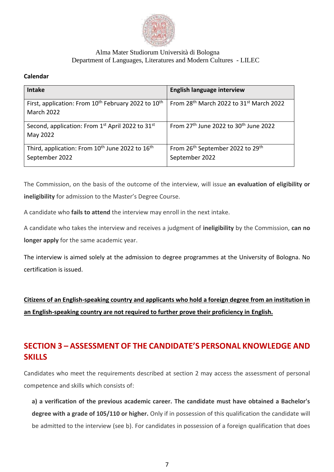

### **Calendar**

| <b>Intake</b>                                                                                    | <b>English language interview</b>                                          |
|--------------------------------------------------------------------------------------------------|----------------------------------------------------------------------------|
| First, application: From 10 <sup>th</sup> February 2022 to 10 <sup>th</sup><br><b>March 2022</b> | From 28th March 2022 to 31st March 2022                                    |
| Second, application: From 1 <sup>st</sup> April 2022 to 31 <sup>st</sup><br>May 2022             | From 27 <sup>th</sup> June 2022 to 30 <sup>th</sup> June 2022              |
| Third, application: From 10 <sup>th</sup> June 2022 to 16 <sup>th</sup><br>September 2022        | From 26 <sup>th</sup> September 2022 to 29 <sup>th</sup><br>September 2022 |

The Commission, on the basis of the outcome of the interview, will issue **an evaluation of eligibility or ineligibility** for admission to the Master's Degree Course.

A candidate who **fails to attend** the interview may enroll in the next intake.

A candidate who takes the interview and receives a judgment of **ineligibility** by the Commission, **can no longer apply** for the same academic year.

The interview is aimed solely at the admission to degree programmes at the University of Bologna. No certification is issued.

**Citizens of an English-speaking country and applicants who hold a foreign degree from an institution in an English-speaking country are not required to further prove their proficiency in English.**

# **SECTION 3 – ASSESSMENT OF THE CANDIDATE'S PERSONAL KNOWLEDGE AND SKILLS**

Candidates who meet the requirements described at section 2 may access the assessment of personal competence and skills which consists of:

**a) a verification of the previous academic career. The candidate must have obtained a Bachelor's degree with a grade of 105/110 or higher.** Only if in possession of this qualification the candidate will be admitted to the interview (see b). For candidates in possession of a foreign qualification that does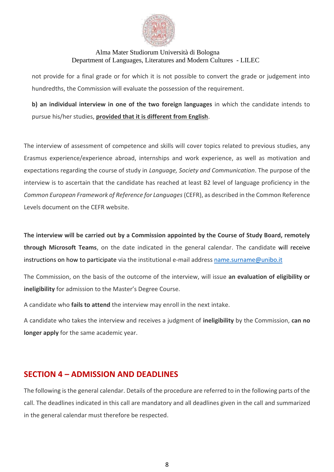

not provide for a final grade or for which it is not possible to convert the grade or judgement into hundredths, the Commission will evaluate the possession of the requirement.

**b) an individual interview in one of the two foreign languages** in which the candidate intends to pursue his/her studies, **provided that it is different from English**.

The interview of assessment of competence and skills will cover topics related to previous studies, any Erasmus experience/experience abroad, internships and work experience, as well as motivation and expectations regarding the course of study in *Language, Society and Communication*. The purpose of the interview is to ascertain that the candidate has reached at least B2 level of language proficiency in the *Common European Framework of Reference for Languages* (CEFR), as described in the Common Reference Levels document on the CEFR website.

**The interview will be carried out by a Commission appointed by the Course of Study Board, remotely through Microsoft Teams**, on the date indicated in the general calendar. The candidate will receive instructions on how to participate via the institutional e-mail addres[s name.surname@unibo.it](mailto:name.surname@unibo.it)

The Commission, on the basis of the outcome of the interview, will issue **an evaluation of eligibility or ineligibility** for admission to the Master's Degree Course.

A candidate who **fails to attend** the interview may enroll in the next intake.

A candidate who takes the interview and receives a judgment of **ineligibility** by the Commission, **can no longer apply** for the same academic year.

### **SECTION 4 – ADMISSION AND DEADLINES**

The following is the general calendar. Details of the procedure are referred to in the following parts of the call. The deadlines indicated in this call are mandatory and all deadlines given in the call and summarized in the general calendar must therefore be respected.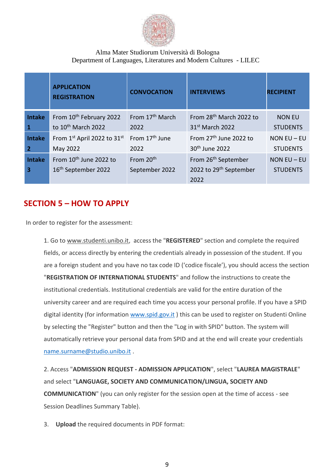

|                         | <b>APPLICATION</b><br><b>REGISTRATION</b> | <b>CONVOCATION</b>          | <b>INTERVIEWS</b>                   | <b>RECIPIENT</b> |
|-------------------------|-------------------------------------------|-----------------------------|-------------------------------------|------------------|
| <b>Intake</b>           | From 10 <sup>th</sup> February 2022       | From 17 <sup>th</sup> March | From 28 <sup>th</sup> March 2022 to | <b>NON EU</b>    |
|                         | to 10 <sup>th</sup> March 2022            | 2022                        | 31 <sup>st</sup> March 2022         | <b>STUDENTS</b>  |
| <b>Intake</b>           | From 1st April 2022 to 31st               | From 17 <sup>th</sup> June  | From 27 <sup>th</sup> June 2022 to  | NON $EU$ – EU    |
| $\overline{2}$          | May 2022                                  | 2022                        | 30 <sup>th</sup> June 2022          | <b>STUDENTS</b>  |
| <b>Intake</b>           | From 10 <sup>th</sup> June 2022 to        | From 20 <sup>th</sup>       | From 26 <sup>th</sup> September     | NON $EU$ – EU    |
| $\overline{\mathbf{3}}$ | 16 <sup>th</sup> September 2022           | September 2022              | 2022 to 29 <sup>th</sup> September  | <b>STUDENTS</b>  |
|                         |                                           |                             | 2022                                |                  |

### **SECTION 5 – HOW TO APPLY**

In order to register for the assessment:

1. Go to [www.studenti.unibo.it,](http://www.studenti.unibo.it/) access the "**REGISTERED**" section and complete the required fields, or access directly by entering the credentials already in possession of the student. If you are a foreign student and you have no tax code ID ('codice fiscale'), you should access the section "**REGISTRATION OF INTERNATIONAL STUDENTS**" and follow the instructions to create the institutional credentials. Institutional credentials are valid for the entire duration of the university career and are required each time you access your personal profile. If you have a SPID digital identity (for information [www.spid.gov.it](http://www.spid.gov.it/)) this can be used to register on Studenti Online by selecting the "Register" button and then the "Log in with SPID" button. The system will automatically retrieve your personal data from SPID and at the end will create your credentials [name.surname@studio.unibo.it](mailto:name.surname@studio.unibo.it) .

2. Access "**ADMISSION REQUEST - ADMISSION APPLICATION**", select "**LAUREA MAGISTRALE**" and select "**LANGUAGE, SOCIETY AND COMMUNICATION/LINGUA, SOCIETY AND COMMUNICATION**" (you can only register for the session open at the time of access - see Session Deadlines Summary Table).

3. **Upload** the required documents in PDF format: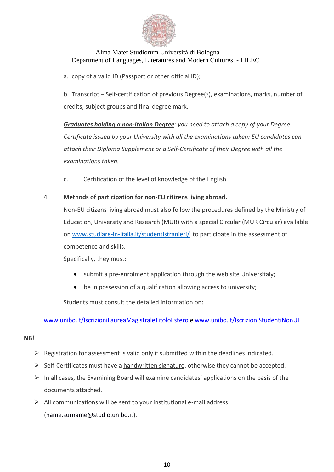

a. copy of a valid ID (Passport or other official ID);

b. Transcript – Self-certification of previous Degree(s), examinations, marks, number of credits, subject groups and final degree mark.

*Graduates holding a non-Italian Degree: you need to attach a copy of your Degree Certificate issued by your University with all the examinations taken; EU candidates can attach their Diploma Supplement or a Self-Certificate of their Degree with all the examinations taken.* 

c. Certification of the level of knowledge of the English.

### 4. **Methods of participation for non-EU citizens living abroad.**

Non-EU citizens living abroad must also follow the procedures defined by the Ministry of Education, University and Research (MUR) with a special Circular (MUR Circular) available o[n www.studiare-in-Italia.it/studentistranieri/](http://www.studiare-in-italia.it/studentistranieri/) to participate in the assessment of competence and skills.

Specifically, they must:

- submit a pre-enrolment application through the web site Universitaly;
- be in possession of a qualification allowing access to university;

Students must consult the detailed information on:

[www.unibo.it/IscrizioniLaureaMagistraleTitoloEstero](http://www.unibo.it/IscrizioniLaureaMagistraleTitoloEstero) e [www.unibo.it/IscrizioniStudentiNonUE](http://www.unibo.it/IscrizioniStudentiNonUE)

### **NB!**

- $\triangleright$  Registration for assessment is valid only if submitted within the deadlines indicated.
- ➢ Self-Certificates must have a handwritten signature, otherwise they cannot be accepted.
- $\triangleright$  In all cases, the Examining Board will examine candidates' applications on the basis of the documents attached.
- $\triangleright$  All communications will be sent to your institutional e-mail address [\(name.surname@studio.unibo.it\)](mailto:name.surname@studio.unibo.it).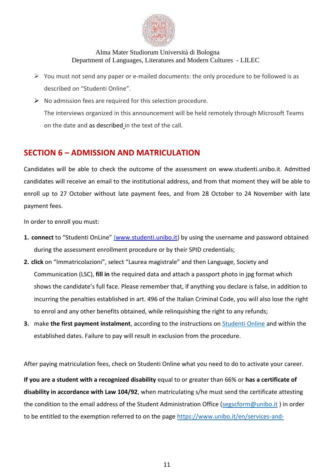

- $\triangleright$  You must not send any paper or e-mailed documents: the only procedure to be followed is as described on "Studenti Online".
- $\triangleright$  No admission fees are required for this selection procedure. The interviews organized in this announcement will be held remotely through Microsoft Teams on the date and as described in the text of the call.

### **SECTION 6 – ADMISSION AND MATRICULATION**

Candidates will be able to check the outcome of the assessment on www.studenti.unibo.it. Admitted candidates will receive an email to the institutional address, and from that moment they will be able to enroll up to 27 October without late payment fees, and from 28 October to 24 November with late payment fees.

In order to enroll you must:

- **1. connect** to "Studenti OnLine" [\(www.studenti.unibo.it\)](http://www.studenti.unibo.it/) by using the username and password obtained during the assessment enrollment procedure or by their SPID credentials;
- **2. click** on "Immatricolazioni", select "Laurea magistrale" and then Language, Society and Communication (LSC), **fill in** the required data and attach a passport photo in jpg format which shows the candidate's full face. Please remember that, if anything you declare is false, in addition to incurring the penalties established in art. 496 of the Italian Criminal Code, you will also lose the right to enrol and any other benefits obtained, while relinquishing the right to any refunds;
- **3.** make **the first payment instalment**, according to the instructions on [Studenti Online](http://www.studenti.unibo.it/) and within the established dates. Failure to pay will result in exclusion from the procedure.

After paying matriculation fees, check on Studenti Online what you need to do to activate your career.

**If you are a student with a recognized disability** equal to or greater than 66% or **has a certificate of disability in accordance with Law 104/92**, when matriculating s/he must send the certificate attesting the condition to the email address of the Student Administration Office [\(segscform@unibo.it](mailto:segscform@unibo.it)) in order to be entitled to the exemption referred to on the page [https://www.unibo.it/en/services-and-](https://www.unibo.it/en/services-and-opportunities/study-grants-and-subsidies/exemptions-and-incentives/exemptions-for-disabled-students)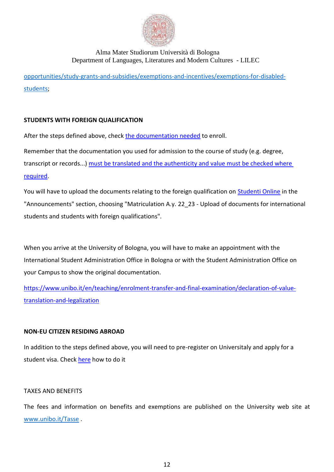

[opportunities/study-grants-and-subsidies/exemptions-and-incentives/exemptions-for-disabled](https://www.unibo.it/en/services-and-opportunities/study-grants-and-subsidies/exemptions-and-incentives/exemptions-for-disabled-students)[students;](https://www.unibo.it/en/services-and-opportunities/study-grants-and-subsidies/exemptions-and-incentives/exemptions-for-disabled-students)

### **STUDENTS WITH FOREIGN QUALIFICATION**

After the steps defined above, check [the documentation needed](https://www.unibo.it/en/teaching/enrolment-transfer-and-final-examination/enrolling-in-a-second-cycle-degree-programme-foreign-qualification) to enroll.

Remember that the documentation you used for admission to the course of study (e.g. degree, transcript or records...) [must be translated and the authenticity and value must be checked where](https://www.unibo.it/en/teaching/enrolment-transfer-and-final-examination/declaration-of-value-translation-and-legalization)  [required.](https://www.unibo.it/en/teaching/enrolment-transfer-and-final-examination/declaration-of-value-translation-and-legalization)

You will have to upload the documents relating to the foreign qualification on [Studenti Online](https://studenti.unibo.it/sol/welcome.htm) in the "Announcements" section, choosing "Matriculation A.y. 22\_23 - Upload of documents for international students and students with foreign qualifications".

When you arrive at the University of Bologna, you will have to make an appointment with the International Student Administration Office in Bologna or with the Student Administration Office on your Campus to show the original documentation.

[https://www.unibo.it/en/teaching/enrolment-transfer-and-final-examination/declaration-of-value](https://www.unibo.it/en/teaching/enrolment-transfer-and-final-examination/declaration-of-value-translation-and-legalization)[translation-and-legalization](https://www.unibo.it/en/teaching/enrolment-transfer-and-final-examination/declaration-of-value-translation-and-legalization)

### **NON-EU CITIZEN RESIDING ABROAD**

In addition to the steps defined above, you will need to pre-register on Universitaly and apply for a student visa. Check [here](https://www.unibo.it/en/teaching/enrolment-transfer-and-final-examination/visa-and-rules-for-residence-in-italy/before-leaving-home-entry-visa) how to do it

### TAXES AND BENEFITS

The fees and information on benefits and exemptions are published on the University web site at [www.unibo.it/Tasse](http://www.unibo.it/Tasse) .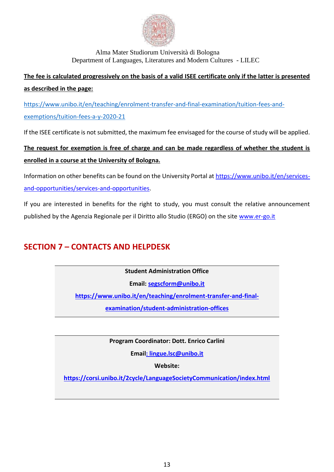

# **The fee is calculated progressively on the basis of a valid ISEE certificate only if the latter is presented as described in the page:**

[https://www.unibo.it/en/teaching/enrolment-transfer-and-final-examination/tuition-fees-and](https://www.unibo.it/en/teaching/enrolment-transfer-and-final-examination/tuition-fees-and-exemptions/tuition-fees-a-y-2020-21)[exemptions/tuition-fees-a-y-2020-21](https://www.unibo.it/en/teaching/enrolment-transfer-and-final-examination/tuition-fees-and-exemptions/tuition-fees-a-y-2020-21)

If the ISEE certificate is not submitted, the maximum fee envisaged for the course of study will be applied.

# **The request for exemption is free of charge and can be made regardless of whether the student is enrolled in a course at the University of Bologna.**

Information on other benefits can be found on the University Portal at [https://www.unibo.it/en/services](https://www.unibo.it/en/services-and-opportunities/services-and-opportunities)[and-opportunities/services-and-opportunities.](https://www.unibo.it/en/services-and-opportunities/services-and-opportunities)

If you are interested in benefits for the right to study, you must consult the relative announcement published by the Agenzia Regionale per il Diritto allo Studio (ERGO) on the site [www.er-go.it](http://www.er-go.it/)

# **SECTION 7 – CONTACTS AND HELPDESK**

**Student Administration Office**

**Email: [segscform@unibo.it](mailto:segscform@unibo.it)**

**[https://www.unibo.it/en/teaching/enrolment-transfer-and-final-](https://www.unibo.it/en/teaching/enrolment-transfer-and-final-examination/student-administration-offices)**

**[examination/student-administration-offices](https://www.unibo.it/en/teaching/enrolment-transfer-and-final-examination/student-administration-offices)**

**Program Coordinator: Dott. Enrico Carlini**

**Email: lingue.lsc@unibo.it**

**Website:** 

**<https://corsi.unibo.it/2cycle/LanguageSocietyCommunication/index.html>**